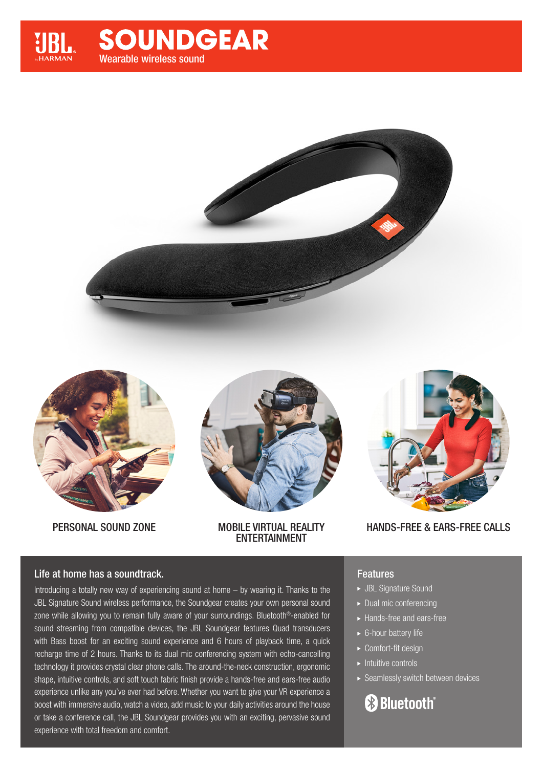# **SOUNDGEAR** Wearable wireless sound







PERSONAL SOUND ZONE MOBILE VIRTUAL REALITY ENTERTAINMENT



HANDS-FREE & EARS-FREE CALLS

## Life at home has a soundtrack.

Introducing a totally new way of experiencing sound at home – by wearing it. Thanks to the JBL Signature Sound wireless performance, the Soundgear creates your own personal sound zone while allowing you to remain fully aware of your surroundings. Bluetooth®-enabled for sound streaming from compatible devices, the JBL Soundgear features Quad transducers with Bass boost for an exciting sound experience and 6 hours of playback time, a quick recharge time of 2 hours. Thanks to its dual mic conferencing system with echo-cancelling technology it provides crystal clear phone calls. The around-the-neck construction, ergonomic shape, intuitive controls, and soft touch fabric finish provide a hands-free and ears-free audio experience unlike any you've ever had before. Whether you want to give your VR experience a boost with immersive audio, watch a video, add music to your daily activities around the house or take a conference call, the JBL Soundgear provides you with an exciting, pervasive sound experience with total freedom and comfort.

## Features

- JBL Signature Sound
- Dual mic conferencing
- Hands-free and ears-free
- ► 6-hour battery life
- ► Comfort-fit design
- $\blacktriangleright$  Intuitive controls
- Seamlessly switch between devices

# **& Bluetooth**®